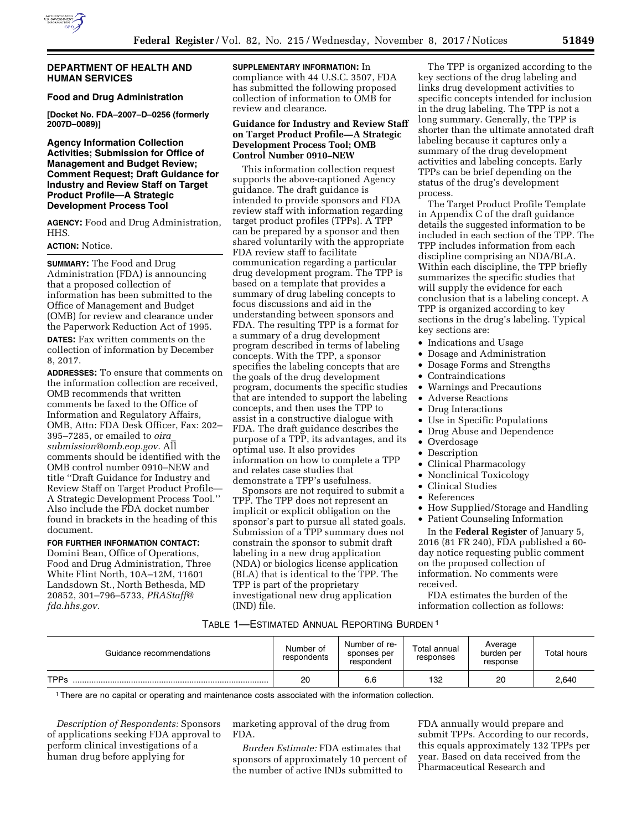

### **DEPARTMENT OF HEALTH AND HUMAN SERVICES**

### **Food and Drug Administration**

**[Docket No. FDA–2007–D–0256 (formerly 2007D–0089)]** 

# **Agency Information Collection Activities; Submission for Office of Management and Budget Review; Comment Request; Draft Guidance for Industry and Review Staff on Target Product Profile—A Strategic Development Process Tool**

**AGENCY:** Food and Drug Administration, HHS.

## **ACTION:** Notice.

**SUMMARY:** The Food and Drug Administration (FDA) is announcing that a proposed collection of information has been submitted to the Office of Management and Budget (OMB) for review and clearance under the Paperwork Reduction Act of 1995.

**DATES:** Fax written comments on the collection of information by December 8, 2017.

**ADDRESSES:** To ensure that comments on the information collection are received, OMB recommends that written comments be faxed to the Office of Information and Regulatory Affairs, OMB, Attn: FDA Desk Officer, Fax: 202– 395–7285, or emailed to *[oira](mailto:oira_submission@omb.eop.gov)*\_ *[submission@omb.eop.gov.](mailto:oira_submission@omb.eop.gov)* All comments should be identified with the OMB control number 0910–NEW and title ''Draft Guidance for Industry and Review Staff on Target Product Profile— A Strategic Development Process Tool.'' Also include the FDA docket number found in brackets in the heading of this document.

### **FOR FURTHER INFORMATION CONTACT:**

Domini Bean, Office of Operations, Food and Drug Administration, Three White Flint North, 10A–12M, 11601 Landsdown St., North Bethesda, MD 20852, 301–796–5733, *[PRAStaff@](mailto:PRAStaff@fda.hhs.gov) [fda.hhs.gov.](mailto:PRAStaff@fda.hhs.gov)* 

**SUPPLEMENTARY INFORMATION:** In compliance with 44 U.S.C. 3507, FDA has submitted the following proposed collection of information to OMB for review and clearance.

### **Guidance for Industry and Review Staff on Target Product Profile—A Strategic Development Process Tool; OMB Control Number 0910–NEW**

This information collection request supports the above-captioned Agency guidance. The draft guidance is intended to provide sponsors and FDA review staff with information regarding target product profiles (TPPs). A TPP can be prepared by a sponsor and then shared voluntarily with the appropriate FDA review staff to facilitate communication regarding a particular drug development program. The TPP is based on a template that provides a summary of drug labeling concepts to focus discussions and aid in the understanding between sponsors and FDA. The resulting TPP is a format for a summary of a drug development program described in terms of labeling concepts. With the TPP, a sponsor specifies the labeling concepts that are the goals of the drug development program, documents the specific studies that are intended to support the labeling concepts, and then uses the TPP to assist in a constructive dialogue with FDA. The draft guidance describes the purpose of a TPP, its advantages, and its optimal use. It also provides information on how to complete a TPP and relates case studies that demonstrate a TPP's usefulness.

Sponsors are not required to submit a TPP. The TPP does not represent an implicit or explicit obligation on the sponsor's part to pursue all stated goals. Submission of a TPP summary does not constrain the sponsor to submit draft labeling in a new drug application (NDA) or biologics license application (BLA) that is identical to the TPP. The TPP is part of the proprietary investigational new drug application (IND) file.

The TPP is organized according to the key sections of the drug labeling and links drug development activities to specific concepts intended for inclusion in the drug labeling. The TPP is not a long summary. Generally, the TPP is shorter than the ultimate annotated draft labeling because it captures only a summary of the drug development activities and labeling concepts. Early TPPs can be brief depending on the status of the drug's development process.

The Target Product Profile Template in Appendix C of the draft guidance details the suggested information to be included in each section of the TPP. The TPP includes information from each discipline comprising an NDA/BLA. Within each discipline, the TPP briefly summarizes the specific studies that will supply the evidence for each conclusion that is a labeling concept. A TPP is organized according to key sections in the drug's labeling. Typical key sections are:

- Indications and Usage
- Dosage and Administration
- Dosage Forms and Strengths
- Contraindications
- Warnings and Precautions
- Adverse Reactions
- Drug Interactions
- Use in Specific Populations
- Drug Abuse and Dependence
- Overdosage
- Description
- Clinical Pharmacology
- Nonclinical Toxicology
- Clinical Studies
- References
- How Supplied/Storage and Handling
- Patient Counseling Information

In the **Federal Register** of January 5, 2016 (81 FR 240), FDA published a 60 day notice requesting public comment on the proposed collection of information. No comments were received.

FDA estimates the burden of the information collection as follows:

# TABLE 1—ESTIMATED ANNUAL REPORTING BURDEN 1

| Guidance recommendations | Number of<br>respondents | Number of re-<br>sponses per<br>respondent | Total annual<br>responses | Average<br>burden per<br>response | <b>Total hours</b> |
|--------------------------|--------------------------|--------------------------------------------|---------------------------|-----------------------------------|--------------------|
| <b>TPPs</b>              | 20                       | 6.6                                        | 132                       | 20                                | 2,640              |

1There are no capital or operating and maintenance costs associated with the information collection.

*Description of Respondents:* Sponsors of applications seeking FDA approval to perform clinical investigations of a human drug before applying for

marketing approval of the drug from FDA.

*Burden Estimate:* FDA estimates that sponsors of approximately 10 percent of the number of active INDs submitted to

FDA annually would prepare and submit TPPs. According to our records, this equals approximately 132 TPPs per year. Based on data received from the Pharmaceutical Research and